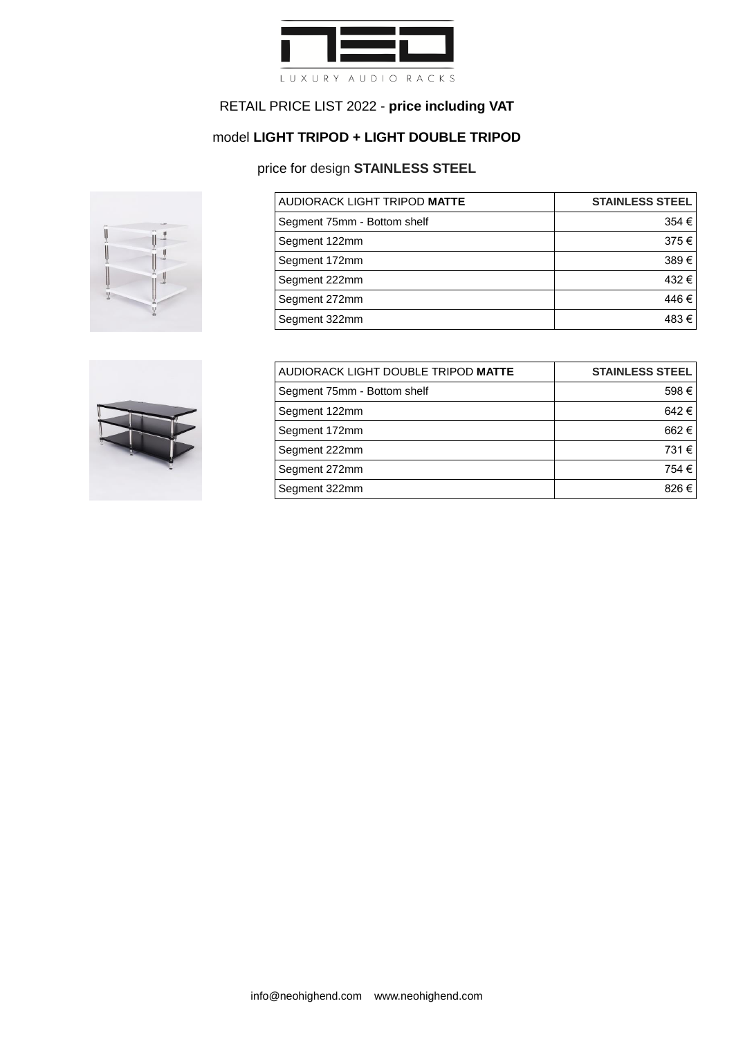

# model **LIGHT TRIPOD + LIGHT DOUBLE TRIPOD**

### price for design **STAINLESS STEEL**



| AUDIORACK LIGHT TRIPOD MATTE | <b>STAINLESS STEEL</b> |
|------------------------------|------------------------|
| Segment 75mm - Bottom shelf  | 354 €                  |
| Segment 122mm                | 375€                   |
| Segment 172mm                | 389€                   |
| Segment 222mm                | 432€                   |
| Segment 272mm                | 446€                   |
| Segment 322mm                | 483€                   |



| AUDIORACK LIGHT DOUBLE TRIPOD MATTE | <b>STAINLESS STEEL</b> |
|-------------------------------------|------------------------|
| Segment 75mm - Bottom shelf         | 598€                   |
| Segment 122mm                       | 642€                   |
| Segment 172mm                       | 662€                   |
| Segment 222mm                       | 731€                   |
| Segment 272mm                       | 754 €                  |
| Segment 322mm                       | 826€                   |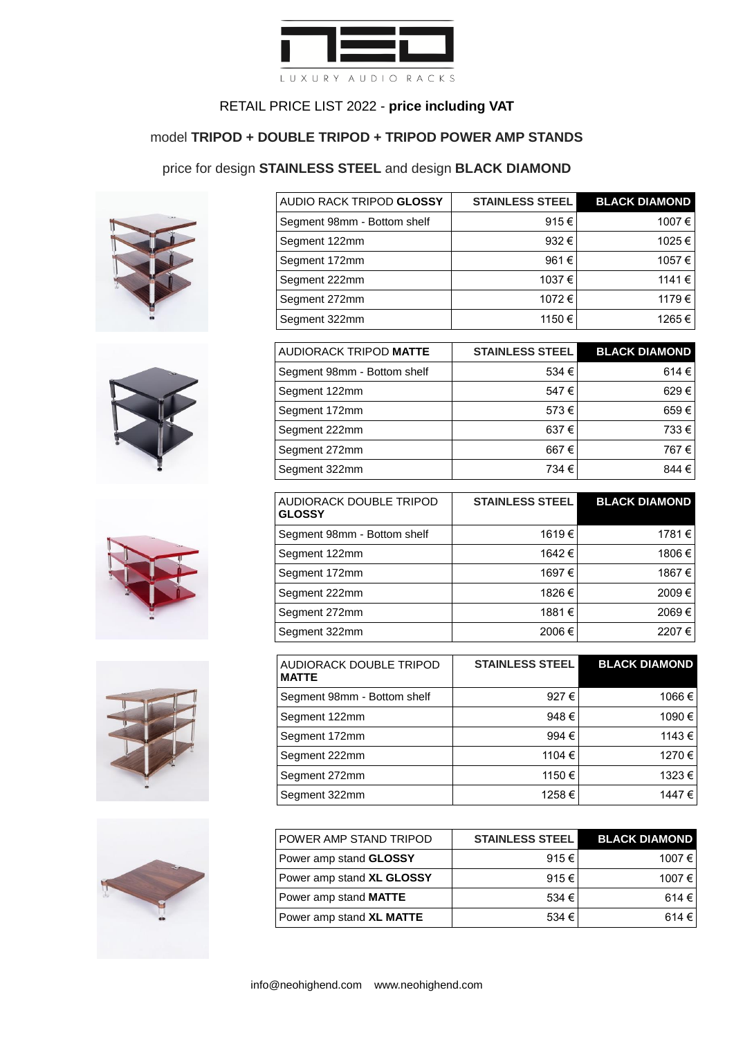

#### model **TRIPOD + DOUBLE TRIPOD + TRIPOD POWER AMP STANDS**

### price for design **STAINLESS STEEL** and design **BLACK DIAMOND**











| <b>AUDIO RACK TRIPOD GLOSSY</b> | <b>STAINLESS STEEL</b> | <b>BLACK DIAMOND</b> |
|---------------------------------|------------------------|----------------------|
| Segment 98mm - Bottom shelf     | 915€                   | 1007€                |
| Segment 122mm                   | 932€                   | 1025€                |
| Segment 172mm                   | 961€                   | 1057€                |
| Segment 222mm                   | 1037€                  | 1141€                |
| Segment 272mm                   | 1072€                  | 1179€                |
| Segment 322mm                   | 1150 €                 | 1265€                |

| <b>AUDIORACK TRIPOD MATTE</b> | <b>STAINLESS STEEL</b> | <b>BLACK DIAMOND</b> |
|-------------------------------|------------------------|----------------------|
| Segment 98mm - Bottom shelf   | 534 €                  | 614€                 |
| Segment 122mm                 | 547€                   | 629€                 |
| Segment 172mm                 | 573€                   | 659€                 |
| Segment 222mm                 | 637€                   | 733€                 |
| Segment 272mm                 | 667€                   | 767€                 |
| Segment 322mm                 | 734 €                  | 844 €                |

| AUDIORACK DOUBLE TRIPOD<br><b>GLOSSY</b> | <b>STAINLESS STEEL</b> | <b>BLACK DIAMOND</b> |
|------------------------------------------|------------------------|----------------------|
| Segment 98mm - Bottom shelf              | 1619€                  | 1781€                |
| Segment 122mm                            | 1642€                  | 1806€                |
| Segment 172mm                            | 1697€                  | 1867€                |
| Segment 222mm                            | 1826€                  | 2009€                |
| Segment 272mm                            | 1881€                  | 2069€                |
| Segment 322mm                            | 2006€                  | 2207€                |

| AUDIORACK DOUBLE TRIPOD<br><b>MATTE</b> | <b>STAINLESS STEEL</b> | <b>BLACK DIAMOND</b> |
|-----------------------------------------|------------------------|----------------------|
| Segment 98mm - Bottom shelf             | 927€                   | 1066 €               |
| Segment 122mm                           | 948€                   | 1090 €               |
| Segment 172mm                           | 994 €                  | 1143 €               |
| Segment 222mm                           | 1104 €                 | 1270 €               |
| Segment 272mm                           | 1150€                  | 1323 €               |
| Segment 322mm                           | 1258€                  | 1447 €               |

| <b>POWER AMP STAND TRIPOD</b> | <b>STAINLESS STEEL</b> | <b>BLACK DIAMOND</b> |
|-------------------------------|------------------------|----------------------|
| Power amp stand GLOSSY        | 915€                   | 1007 €               |
| Power amp stand XL GLOSSY     | 915€                   | 1007 €               |
| Power amp stand MATTE         | 534 $\epsilon$         | 614€                 |
| Power amp stand XL MATTE      | 534 €                  | 614€                 |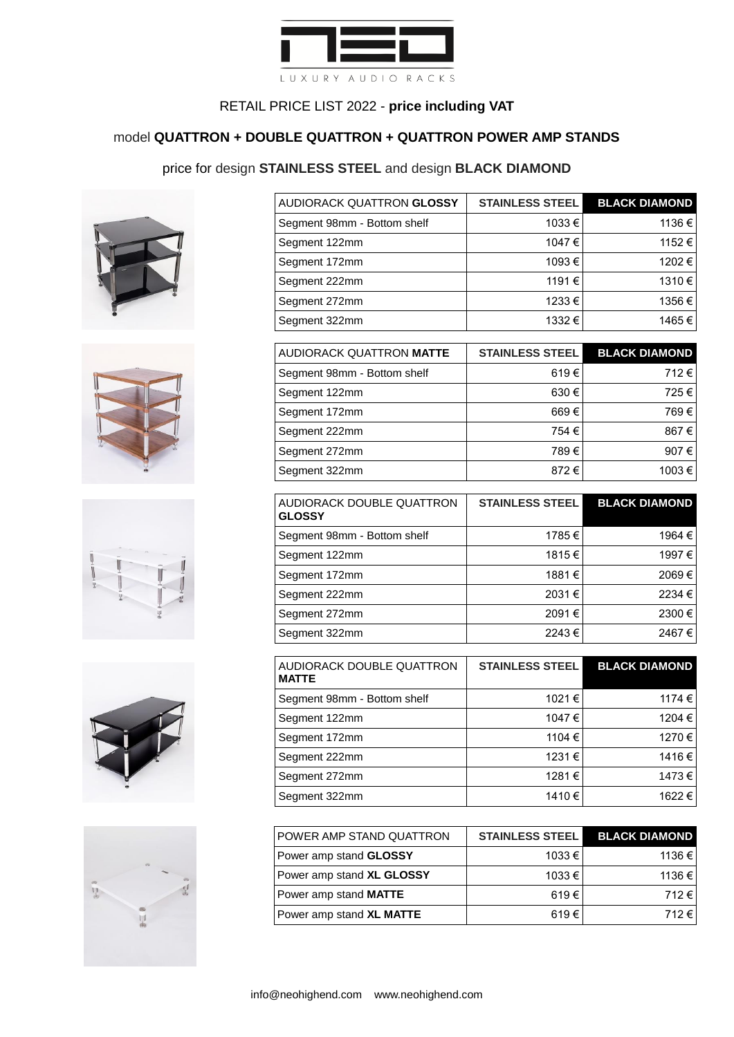

# model **QUATTRON + DOUBLE QUATTRON + QUATTRON POWER AMP STANDS**

### price for design **STAINLESS STEEL** and design **BLACK DIAMOND**











| AUDIORACK QUATTRON GLOSSY   | <b>STAINLESS STEEL</b> | <b>BLACK DIAMOND</b> |
|-----------------------------|------------------------|----------------------|
| Segment 98mm - Bottom shelf | 1033 €                 | 1136€                |
| Segment 122mm               | 1047 €                 | 1152 €               |
| Segment 172mm               | 1093€                  | 1202 €               |
| Segment 222mm               | 1191 €                 | 1310€                |
| Segment 272mm               | 1233 €                 | 1356€                |
| Segment 322mm               | 1332 €                 | 1465 €               |

| AUDIORACK QUATTRON MATTE    | <b>STAINLESS STEEL</b> | <b>BLACK DIAMOND</b> |
|-----------------------------|------------------------|----------------------|
| Segment 98mm - Bottom shelf | 619€                   | 712€                 |
| Segment 122mm               | 630€                   | 725€                 |
| Segment 172mm               | 669€                   | 769€                 |
| Segment 222mm               | 754 €                  | 867€                 |
| Segment 272mm               | 789€                   | 907€                 |
| Segment 322mm               | 872€                   | 1003 €               |

| AUDIORACK DOUBLE QUATTRON<br><b>GLOSSY</b> | <b>STAINLESS STEEL</b> | <b>BLACK DIAMOND</b> |
|--------------------------------------------|------------------------|----------------------|
| Segment 98mm - Bottom shelf                | 1785€                  | 1964 €               |
| Segment 122mm                              | 1815€                  | 1997 €               |
| Segment 172mm                              | 1881 €                 | 2069€                |
| Segment 222mm                              | 2031€                  | 2234 €               |
| Segment 272mm                              | 2091€                  | 2300€                |
| Segment 322mm                              | 2243€                  | 2467€                |

| AUDIORACK DOUBLE QUATTRON<br><b>MATTE</b> | <b>STAINLESS STEEL</b> | <b>BLACK DIAMOND</b> |
|-------------------------------------------|------------------------|----------------------|
| Segment 98mm - Bottom shelf               | 1021 €                 | 1174 €               |
| Segment 122mm                             | 1047 €                 | 1204 €               |
| Segment 172mm                             | 1104 €                 | 1270 €               |
| Segment 222mm                             | 1231 €                 | 1416 €               |
| Segment 272mm                             | 1281 €                 | 1473 €               |
| Segment 322mm                             | 1410€                  | 1622 €               |

| POWER AMP STAND QUATTRON     | <b>STAINLESS STEEL</b> | <b>BLACK DIAMOND</b> |
|------------------------------|------------------------|----------------------|
| Power amp stand GLOSSY       | 1033 €                 | 1136 €               |
| Power amp stand XL GLOSSY    | 1033 €                 | 1136 €               |
| Power amp stand <b>MATTE</b> | 619 $\epsilon$         | 712€                 |
| Power amp stand XL MATTE     | 619 $\epsilon$         | 712€                 |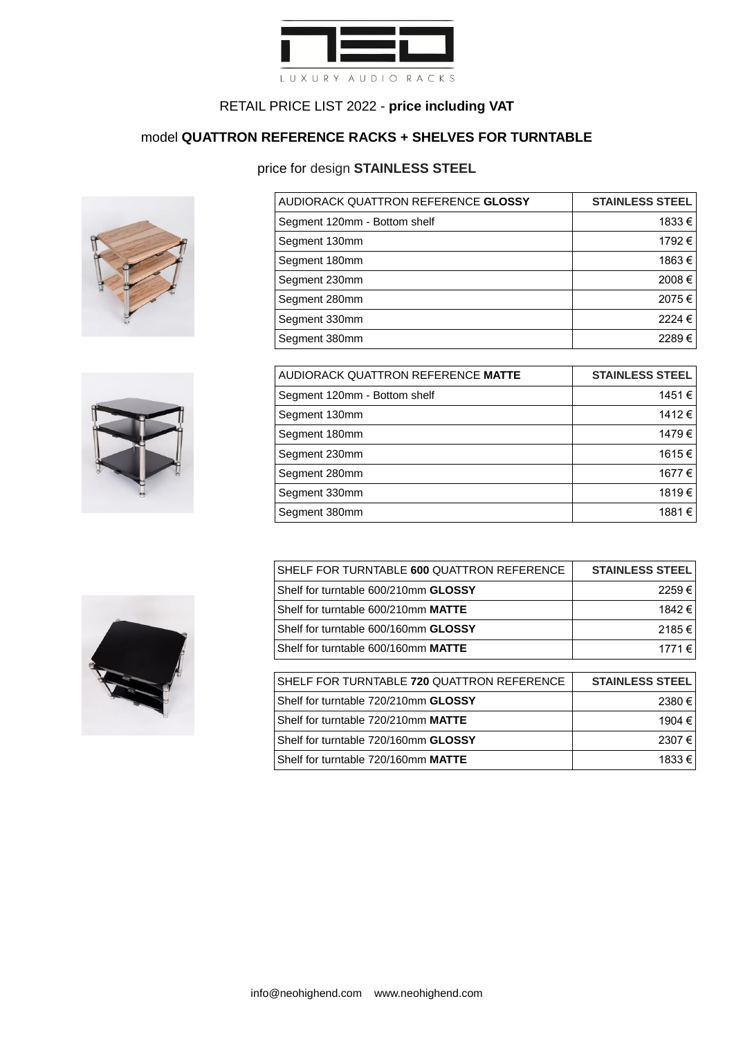

### model **QUATTRON REFERENCE RACKS + SHELVES FOR TURNTABLE**

### price for design **STAINLESS STEEL**





| AUDIORACK QUATTRON REFERENCE GLOSSY | <b>STAINLESS STEEL</b> |
|-------------------------------------|------------------------|
| Segment 120mm - Bottom shelf        | 1833 €                 |
| Segment 130mm                       | 1792 €                 |
| Segment 180mm                       | 1863€                  |
| Segment 230mm                       | 2008€                  |
| Segment 280mm                       | 2075€                  |
| Segment 330mm                       | 2224 €                 |
| Segment 380mm                       | 2289€                  |

| AUDIORACK QUATTRON REFERENCE MATTE | <b>STAINLESS STEEL</b> |
|------------------------------------|------------------------|
| Segment 120mm - Bottom shelf       | 1451€                  |
| Segment 130mm                      | 1412€                  |
| Segment 180mm                      | 1479€                  |
| Segment 230mm                      | 1615€                  |
| Segment 280mm                      | 1677 €                 |
| Segment 330mm                      | 1819€                  |
| Segment 380mm                      | 1881 €                 |

| SHELF FOR TURNTABLE 600 QUATTRON REFERENCE | <b>STAINLESS STEEL</b> |
|--------------------------------------------|------------------------|
| Shelf for turntable 600/210mm GLOSSY       | 2259€                  |
| Shelf for turntable 600/210mm MATTE        | 1842 €                 |
| Shelf for turntable 600/160mm GLOSSY       | 2185€                  |
| Shelf for turntable 600/160mm MATTE        | 1771€                  |
|                                            |                        |
| SHELF FOR TURNTABLE 720 QUATTRON REFERENCE | <b>STAINLESS STEEL</b> |
| Shelf for turntable 720/210mm GLOSSY       | 2380€                  |
| Shelf for turntable 720/210mm MATTE        | 1904 €                 |
| Shelf for turntable 720/160mm GLOSSY       | 2307€                  |
| Shelf for turntable 720/160mm MATTE        | 1833€                  |

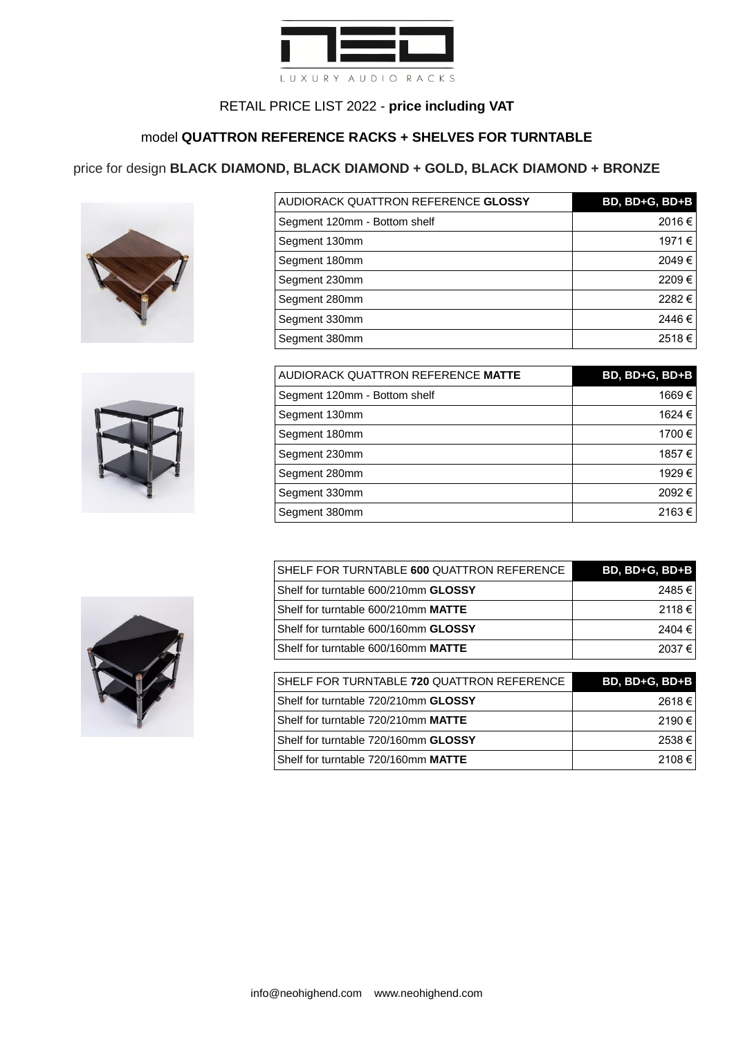

### model **QUATTRON REFERENCE RACKS + SHELVES FOR TURNTABLE**

### price for design **BLACK DIAMOND, BLACK DIAMOND + GOLD, BLACK DIAMOND + BRONZE**





| AUDIORACK QUATTRON REFERENCE GLOSSY | BD, BD+G, BD+B |
|-------------------------------------|----------------|
| Segment 120mm - Bottom shelf        | 2016€          |
| Segment 130mm                       | 1971 €         |
| Segment 180mm                       | 2049€          |
| Segment 230mm                       | 2209€          |
| Segment 280mm                       | 2282€          |
| Segment 330mm                       | 2446€          |
| Segment 380mm                       | 2518€          |

| AUDIORACK QUATTRON REFERENCE MATTE | BD, BD+G, BD+B |
|------------------------------------|----------------|
| Segment 120mm - Bottom shelf       | 1669€          |
| Segment 130mm                      | 1624 €         |
| Segment 180mm                      | 1700 €         |
| Segment 230mm                      | 1857 €         |
| Segment 280mm                      | 1929€          |
| Segment 330mm                      | 2092€          |
| Segment 380mm                      | 2163€          |

| SHELF FOR TURNTABLE 600 QUATTRON REFERENCE  | BD, BD+G, BD+B |
|---------------------------------------------|----------------|
| Shelf for turntable 600/210mm <b>GLOSSY</b> | 2485€          |
| Shelf for turntable 600/210mm MATTE         | 2118€          |
| Shelf for turntable 600/160mm GLOSSY        | 2404€          |
| Shelf for turntable 600/160mm MATTE         | 2037€          |
|                                             |                |
| SHELF FOR TURNTABLE 720 QUATTRON REFERENCE  | BD, BD+G, BD+B |
| Shelf for turntable 720/210mm GLOSSY        | 2618€          |
| Shelf for turntable 720/210mm MATTE         | 2190€          |

Shelf for turntable 720/160mm **GLOSSY** 2538 € Shelf for turntable 720/160mm **MATTE** 2108 €